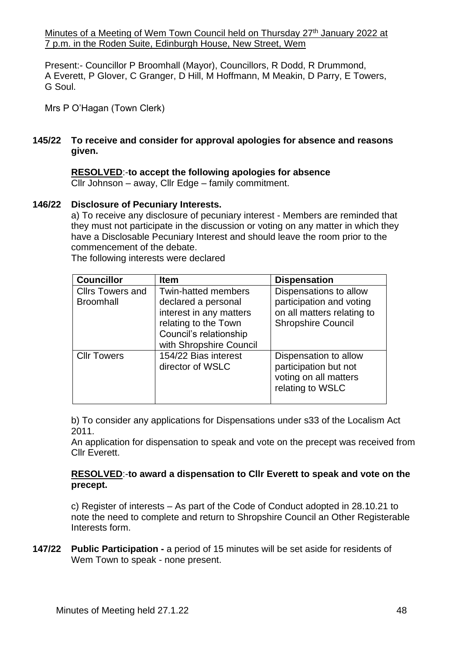Minutes of a Meeting of Wem Town Council held on Thursday 27<sup>th</sup> January 2022 at 7 p.m. in the Roden Suite, Edinburgh House, New Street, Wem

Present:- Councillor P Broomhall (Mayor), Councillors, R Dodd, R Drummond, A Everett, P Glover, C Granger, D Hill, M Hoffmann, M Meakin, D Parry, E Towers, G Soul.

Mrs P O'Hagan (Town Clerk)

## **145/22 To receive and consider for approval apologies for absence and reasons given.**

# **RESOLVED**:-**to accept the following apologies for absence**

Cllr Johnson – away, Cllr Edge – family commitment.

## **146/22 Disclosure of Pecuniary Interests.**

a) To receive any disclosure of pecuniary interest - Members are reminded that they must not participate in the discussion or voting on any matter in which they have a Disclosable Pecuniary Interest and should leave the room prior to the commencement of the debate.

The following interests were declared

| <b>Councillor</b>                           | <b>Item</b>                                                                                                                                               | <b>Dispensation</b>                                                                                           |
|---------------------------------------------|-----------------------------------------------------------------------------------------------------------------------------------------------------------|---------------------------------------------------------------------------------------------------------------|
| <b>Cllrs Towers and</b><br><b>Broomhall</b> | <b>Twin-hatted members</b><br>declared a personal<br>interest in any matters<br>relating to the Town<br>Council's relationship<br>with Shropshire Council | Dispensations to allow<br>participation and voting<br>on all matters relating to<br><b>Shropshire Council</b> |
| <b>Cllr Towers</b>                          | 154/22 Bias interest<br>director of WSLC                                                                                                                  | Dispensation to allow<br>participation but not<br>voting on all matters<br>relating to WSLC                   |

b) To consider any applications for Dispensations under s33 of the Localism Act 2011.

An application for dispensation to speak and vote on the precept was received from Cllr Everett.

## **RESOLVED**:-**to award a dispensation to Cllr Everett to speak and vote on the precept.**

c) Register of interests – As part of the Code of Conduct adopted in 28.10.21 to note the need to complete and return to Shropshire Council an Other Registerable Interests form.

**147/22 Public Participation -** a period of 15 minutes will be set aside for residents of Wem Town to speak - none present.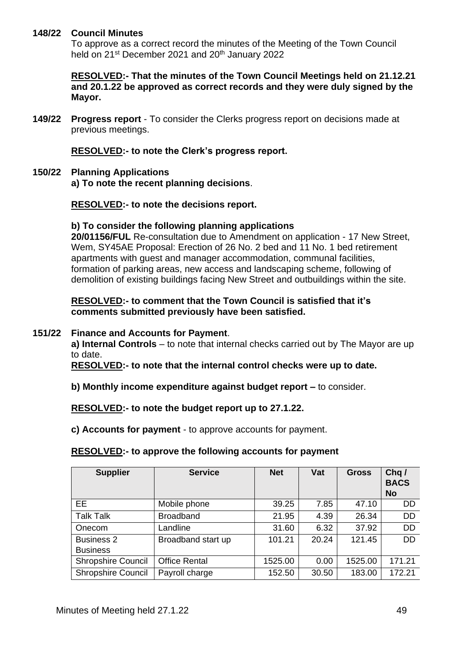## **148/22 Council Minutes**

To approve as a correct record the minutes of the Meeting of the Town Council held on 21<sup>st</sup> December 2021 and 20<sup>th</sup> January 2022

**RESOLVED:- That the minutes of the Town Council Meetings held on 21.12.21 and 20.1.22 be approved as correct records and they were duly signed by the Mayor.**

**149/22 Progress report** - To consider the Clerks progress report on decisions made at previous meetings.

**RESOLVED:- to note the Clerk's progress report.**

**150/22 Planning Applications a) To note the recent planning decisions**.

**RESOLVED:- to note the decisions report.**

#### **b) To consider the following planning applications**

**20/01156/FUL** Re-consultation due to Amendment on application - 17 New Street, Wem, SY45AE Proposal: Erection of 26 No. 2 bed and 11 No. 1 bed retirement apartments with guest and manager accommodation, communal facilities, formation of parking areas, new access and landscaping scheme, following of demolition of existing buildings facing New Street and outbuildings within the site.

### **RESOLVED:- to comment that the Town Council is satisfied that it's comments submitted previously have been satisfied.**

#### **151/22 Finance and Accounts for Payment**.

**a) Internal Controls** – to note that internal checks carried out by The Mayor are up to date.

**RESOLVED:- to note that the internal control checks were up to date.**

**b) Monthly income expenditure against budget report –** to consider.

**RESOLVED:- to note the budget report up to 27.1.22.**

**c) Accounts for payment** - to approve accounts for payment.

#### **RESOLVED:- to approve the following accounts for payment**

| <b>Supplier</b>           | <b>Service</b>       | <b>Net</b> | Vat   | <b>Gross</b> | Chq/<br><b>BACS</b><br><b>No</b> |
|---------------------------|----------------------|------------|-------|--------------|----------------------------------|
| EE.                       | Mobile phone         | 39.25      | 7.85  | 47.10        | <b>DD</b>                        |
| <b>Talk Talk</b>          | <b>Broadband</b>     | 21.95      | 4.39  | 26.34        | <b>DD</b>                        |
| Onecom                    | Landline             | 31.60      | 6.32  | 37.92        | <b>DD</b>                        |
| <b>Business 2</b>         | Broadband start up   | 101.21     | 20.24 | 121.45       | <b>DD</b>                        |
| <b>Business</b>           |                      |            |       |              |                                  |
| <b>Shropshire Council</b> | <b>Office Rental</b> | 1525.00    | 0.00  | 1525.00      | 171.21                           |
| <b>Shropshire Council</b> | Payroll charge       | 152.50     | 30.50 | 183.00       | 172.21                           |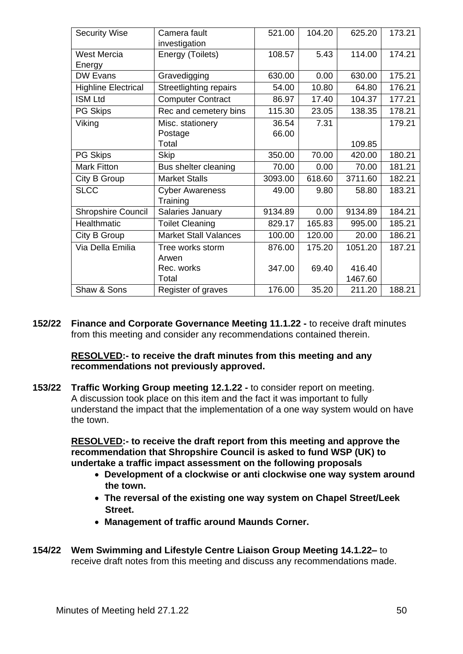| <b>Security Wise</b>       | Camera fault                  | 521.00  | 104.20 | 625.20  | 173.21 |
|----------------------------|-------------------------------|---------|--------|---------|--------|
|                            | investigation                 |         |        |         |        |
| <b>West Mercia</b>         | Energy (Toilets)              | 108.57  | 5.43   | 114.00  | 174.21 |
| Energy                     |                               |         |        |         |        |
| <b>DW Evans</b>            | Gravedigging                  | 630.00  | 0.00   | 630.00  | 175.21 |
| <b>Highline Electrical</b> | <b>Streetlighting repairs</b> | 54.00   | 10.80  | 64.80   | 176.21 |
| <b>ISM Ltd</b>             | <b>Computer Contract</b>      | 86.97   | 17.40  | 104.37  | 177.21 |
| <b>PG Skips</b>            | Rec and cemetery bins         | 115.30  | 23.05  | 138.35  | 178.21 |
| Viking                     | Misc. stationery              | 36.54   | 7.31   |         | 179.21 |
|                            | Postage                       | 66.00   |        |         |        |
|                            | Total                         |         |        | 109.85  |        |
| PG Skips                   | <b>Skip</b>                   | 350.00  | 70.00  | 420.00  | 180.21 |
| <b>Mark Fitton</b>         | Bus shelter cleaning          | 70.00   | 0.00   | 70.00   | 181.21 |
| City B Group               | <b>Market Stalls</b>          | 3093.00 | 618.60 | 3711.60 | 182.21 |
| <b>SLCC</b>                | <b>Cyber Awareness</b>        | 49.00   | 9.80   | 58.80   | 183.21 |
|                            | Training                      |         |        |         |        |
| <b>Shropshire Council</b>  | Salaries January              | 9134.89 | 0.00   | 9134.89 | 184.21 |
| Healthmatic                | <b>Toilet Cleaning</b>        | 829.17  | 165.83 | 995.00  | 185.21 |
| City B Group               | <b>Market Stall Valances</b>  | 100.00  | 120.00 | 20.00   | 186.21 |
| Via Della Emilia           | Tree works storm              | 876.00  | 175.20 | 1051.20 | 187.21 |
|                            | Arwen                         |         |        |         |        |
|                            | Rec. works                    | 347.00  | 69.40  | 416.40  |        |
|                            | Total                         |         |        | 1467.60 |        |
| Shaw & Sons                | Register of graves            | 176.00  | 35.20  | 211.20  | 188.21 |

**152/22 Finance and Corporate Governance Meeting 11.1.22 -** to receive draft minutes from this meeting and consider any recommendations contained therein.

## **RESOLVED:- to receive the draft minutes from this meeting and any recommendations not previously approved.**

**153/22 Traffic Working Group meeting 12.1.22 -** to consider report on meeting. A discussion took place on this item and the fact it was important to fully understand the impact that the implementation of a one way system would on have the town.

**RESOLVED:- to receive the draft report from this meeting and approve the recommendation that Shropshire Council is asked to fund WSP (UK) to undertake a traffic impact assessment on the following proposals** 

- • **Development of a clockwise or anti clockwise one way system around the town.**
- • **The reversal of the existing one way system on Chapel Street/Leek Street.**
- • **Management of traffic around Maunds Corner.**
- **154/22 Wem Swimming and Lifestyle Centre Liaison Group Meeting 14.1.22–** to receive draft notes from this meeting and discuss any recommendations made.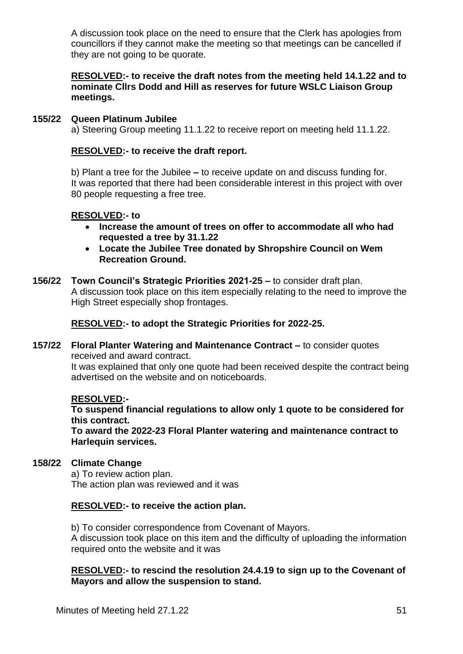A discussion took place on the need to ensure that the Clerk has apologies from councillors if they cannot make the meeting so that meetings can be cancelled if they are not going to be quorate.

**RESOLVED:- to receive the draft notes from the meeting held 14.1.22 and to nominate Cllrs Dodd and Hill as reserves for future WSLC Liaison Group meetings.**

#### **155/22 Queen Platinum Jubilee** a) Steering Group meeting 11.1.22 to receive report on meeting held 11.1.22.

## **RESOLVED:- to receive the draft report.**

b) Plant a tree for the Jubilee **–** to receive update on and discuss funding for. It was reported that there had been considerable interest in this project with over 80 people requesting a free tree.

## **RESOLVED:- to**

- **Increase the amount of trees on offer to accommodate all who had requested a tree by 31.1.22**
- **Locate the Jubilee Tree donated by Shropshire Council on Wem Recreation Ground.**
- **156/22 Town Council's Strategic Priorities 2021-25 –** to consider draft plan. A discussion took place on this item especially relating to the need to improve the High Street especially shop frontages.

**RESOLVED:- to adopt the Strategic Priorities for 2022-25.**

**157/22 Floral Planter Watering and Maintenance Contract –** to consider quotes received and award contract.

It was explained that only one quote had been received despite the contract being advertised on the website and on noticeboards.

## **RESOLVED:-**

**To suspend financial regulations to allow only 1 quote to be considered for this contract.**

**To award the 2022-23 Floral Planter watering and maintenance contract to Harlequin services.**

## **158/22 Climate Change**

a) To review action plan. The action plan was reviewed and it was

## **RESOLVED:- to receive the action plan.**

b) To consider correspondence from Covenant of Mayors. A discussion took place on this item and the difficulty of uploading the information required onto the website and it was

## **RESOLVED:- to rescind the resolution 24.4.19 to sign up to the Covenant of Mayors and allow the suspension to stand.**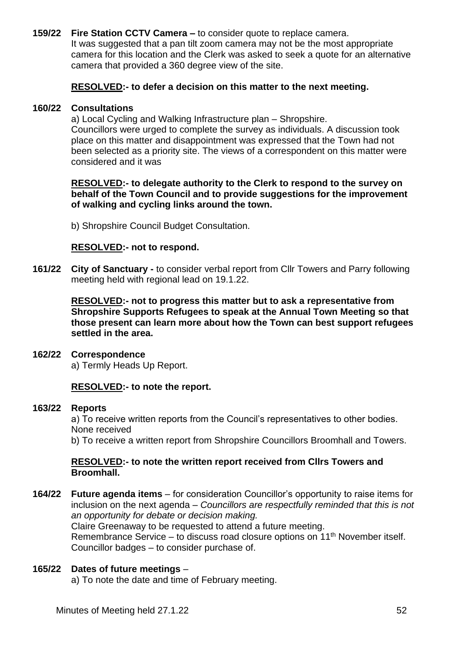**159/22 Fire Station CCTV Camera –** to consider quote to replace camera. It was suggested that a pan tilt zoom camera may not be the most appropriate camera for this location and the Clerk was asked to seek a quote for an alternative camera that provided a 360 degree view of the site.

## **RESOLVED:- to defer a decision on this matter to the next meeting.**

### **160/22 Consultations**

a) Local Cycling and Walking Infrastructure plan – Shropshire. Councillors were urged to complete the survey as individuals. A discussion took place on this matter and disappointment was expressed that the Town had not been selected as a priority site. The views of a correspondent on this matter were considered and it was

## **RESOLVED:- to delegate authority to the Clerk to respond to the survey on behalf of the Town Council and to provide suggestions for the improvement of walking and cycling links around the town.**

b) Shropshire Council Budget Consultation.

## **RESOLVED:- not to respond.**

**161/22 City of Sanctuary -** to consider verbal report from Cllr Towers and Parry following meeting held with regional lead on 19.1.22.

> **RESOLVED:- not to progress this matter but to ask a representative from Shropshire Supports Refugees to speak at the Annual Town Meeting so that those present can learn more about how the Town can best support refugees settled in the area.**

#### **162/22 Correspondence**

a) Termly Heads Up Report.

## **RESOLVED:- to note the report.**

#### **163/22 Reports**

a) To receive written reports from the Council's representatives to other bodies. None received

b) To receive a written report from Shropshire Councillors Broomhall and Towers.

#### **RESOLVED:- to note the written report received from Cllrs Towers and Broomhall.**

**164/22 Future agenda items** – for consideration Councillor's opportunity to raise items for inclusion on the next agenda – *Councillors are respectfully reminded that this is not an opportunity for debate or decision making.* Claire Greenaway to be requested to attend a future meeting. Remembrance Service – to discuss road closure options on  $11<sup>th</sup>$  November itself. Councillor badges – to consider purchase of.

## **165/22 Dates of future meetings** –

a) To note the date and time of February meeting.